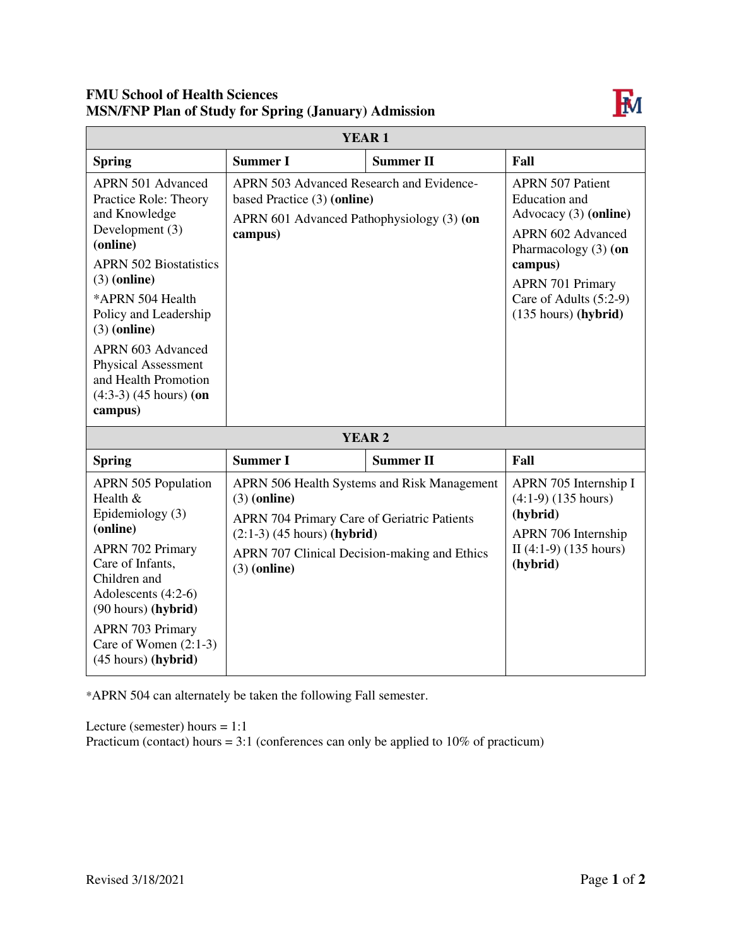## **FMU School of Health Sciences MSN/FNP Plan of Study for Spring (January) Admission**



| <b>YEAR1</b>                                                                                                                                                                                                                                                       |                                                                                                                                                                         |                                             |                                                                                                                                                                                                                          |  |
|--------------------------------------------------------------------------------------------------------------------------------------------------------------------------------------------------------------------------------------------------------------------|-------------------------------------------------------------------------------------------------------------------------------------------------------------------------|---------------------------------------------|--------------------------------------------------------------------------------------------------------------------------------------------------------------------------------------------------------------------------|--|
| <b>Spring</b>                                                                                                                                                                                                                                                      | <b>Summer I</b>                                                                                                                                                         | <b>Summer II</b>                            | Fall                                                                                                                                                                                                                     |  |
| <b>APRN 501 Advanced</b><br>Practice Role: Theory<br>and Knowledge<br>Development (3)<br>(online)<br><b>APRN 502 Biostatistics</b><br>$(3)$ (online)<br>*APRN 504 Health<br>Policy and Leadership<br>$(3)$ (online)                                                | APRN 503 Advanced Research and Evidence-<br>based Practice (3) (online)<br>APRN 601 Advanced Pathophysiology (3) (on<br>campus)                                         |                                             | <b>APRN 507 Patient</b><br><b>Education</b> and<br>Advocacy (3) (online)<br><b>APRN 602 Advanced</b><br>Pharmacology $(3)$ (on<br>campus)<br><b>APRN 701 Primary</b><br>Care of Adults (5:2-9)<br>$(135$ hours) (hybrid) |  |
| <b>APRN 603 Advanced</b><br><b>Physical Assessment</b><br>and Health Promotion<br>$(4:3-3)$ $(45$ hours) (on<br>campus)                                                                                                                                            |                                                                                                                                                                         |                                             |                                                                                                                                                                                                                          |  |
| <b>YEAR 2</b>                                                                                                                                                                                                                                                      |                                                                                                                                                                         |                                             |                                                                                                                                                                                                                          |  |
| <b>Spring</b>                                                                                                                                                                                                                                                      | <b>Summer I</b>                                                                                                                                                         | <b>Summer II</b>                            | Fall                                                                                                                                                                                                                     |  |
| <b>APRN 505 Population</b><br>Health &<br>Epidemiology (3)<br>(online)<br><b>APRN 702 Primary</b><br>Care of Infants,<br>Children and<br>Adolescents (4:2-6)<br>(90 hours) (hybrid)<br><b>APRN 703 Primary</b><br>Care of Women $(2:1-3)$<br>$(45 hours)$ (hybrid) | $(3)$ (online)<br><b>APRN 704 Primary Care of Geriatric Patients</b><br>$(2:1-3)$ (45 hours) (hybrid)<br>APRN 707 Clinical Decision-making and Ethics<br>$(3)$ (online) | APRN 506 Health Systems and Risk Management | APRN 705 Internship I<br>$(4:1-9)$ $(135 hours)$<br>(hybrid)<br>APRN 706 Internship<br>II $(4:1-9)$ $(135 hours)$<br>(hybrid)                                                                                            |  |

\*APRN 504 can alternately be taken the following Fall semester.

Lecture (semester) hours  $= 1:1$ 

Practicum (contact) hours =  $3:1$  (conferences can only be applied to  $10\%$  of practicum)